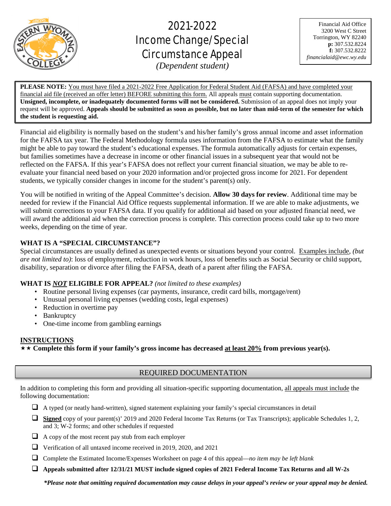

# 2021-2022 Income Change/Special Circumstance Appeal

Financial Aid Office 3200 West C Street Torrington, WY 82240 **p:** 307.532.8224 **f:** 307.532.8222 *financialaid@ewc.wy.edu*

*(Dependent student)*

L

**PLEASE NOTE:** You must have filed a 2021-2022 Free Application for Federal Student Aid (FAFSA) and have completed your financial aid file (received an offer letter) BEFORE submitting this form. All appeals must contain supporting documentation. **Unsigned, incomplete, or inadequately documented forms will not be considered.** Submission of an appeal does not imply your request will be approved. **Appeals should be submitted as soon as possible, but no later than mid-term of the semester for which the student is requesting aid.**

Financial aid eligibility is normally based on the student's and his/her family's gross annual income and asset information for the FAFSA tax year. The Federal Methodology formula uses information from the FAFSA to estimate what the family might be able to pay toward the student's educational expenses. The formula automatically adjusts for certain expenses, but families sometimes have a decrease in income or other financial issues in a subsequent year that would not be reflected on the FAFSA. If this year's FAFSA does not reflect your current financial situation, we may be able to reevaluate your financial need based on your 2020 information and/or projected gross income for 2021. For dependent students, we typically consider changes in income for the student's parent(s) only.

You will be notified in writing of the Appeal Committee's decision. **Allow 30 days for review**. Additional time may be needed for review if the Financial Aid Office requests supplemental information. If we are able to make adjustments, we will submit corrections to your FAFSA data. If you qualify for additional aid based on your adjusted financial need, we will award the additional aid when the correction process is complete. This correction process could take up to two more weeks, depending on the time of year.

# **WHAT IS A "SPECIAL CIRCUMSTANCE"?**

Special circumstances are usually defined as unexpected events or situations beyond your control. Examples include, *(but are not limited to)*: loss of employment, reduction in work hours, loss of benefits such as Social Security or child support, disability, separation or divorce after filing the FAFSA, death of a parent after filing the FAFSA.

# **WHAT IS** *NOT* **ELIGIBLE FOR APPEAL?** *(not limited to these examples)*

- Routine personal living expenses (car payments, insurance, credit card bills, mortgage/rent)
- Unusual personal living expenses (wedding costs, legal expenses)
- Reduction in overtime pay
- Bankruptcy
- One-time income from gambling earnings

# **INSTRUCTIONS**

**Complete this form if your family's gross income has decreased at least 20% from previous year(s).**

# REQUIRED DOCUMENTATION

In addition to completing this form and providing all situation-specific supporting documentation, all appeals must include the following documentation:

 $\Box$  A typed (or neatly hand-written), signed statement explaining your family's special circumstances in detail

- **Signed** copy of your parent(s)' 2019 and 2020 Federal Income Tax Returns (or Tax Transcripts); applicable Schedules 1, 2, and 3; W-2 forms; and other schedules if requested
- $\Box$  A copy of the most recent pay stub from each employer
- Verification of all untaxed income received in 2019, 2020, and 2021
- Complete the Estimated Income/Expenses Worksheet on page 4 of this appeal—*no item may be left blank*
- **Appeals submitted after 12/31/21 MUST include signed copies of 2021 Federal Income Tax Returns and all W-2s**

*\*Please note that omitting required documentation may cause delays in your appeal's review or your appeal may be denied.*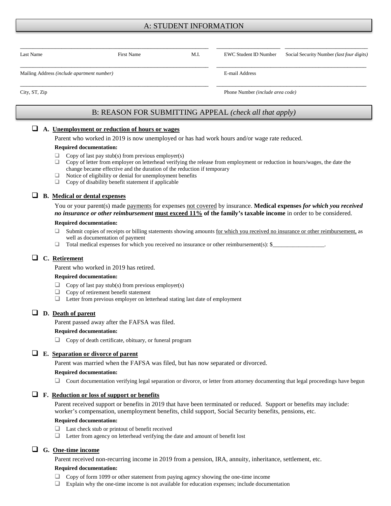# A: STUDENT INFORMATION

| Last Name                                  | First Name | M.I. | EWC Student ID Number            | Social Security Number ( <i>last four digits</i> ) |  |
|--------------------------------------------|------------|------|----------------------------------|----------------------------------------------------|--|
| Mailing Address (include apartment number) |            |      | E-mail Address                   |                                                    |  |
| City, ST, Zip                              |            |      | Phone Number (include area code) |                                                    |  |

# B: REASON FOR SUBMITTING APPEAL *(check all that apply)*

#### **A. Unemployment or reduction of hours or wages**

Parent who worked in 2019 is now unemployed or has had work hours and/or wage rate reduced.

#### **Required documentation:**

- $\Box$  Copy of last pay stub(s) from previous employer(s)
- $\Box$  Copy of letter from employer on letterhead verifying the release from employment or reduction in hours/wages, the date the change became effective and the duration of the reduction if temporary
- $\Box$  Notice of eligibility or denial for unemployment benefits  $\Box$  Copy of disability benefit statement if applicable
- Copy of disability benefit statement if applicable

# **B. Medical or dental expenses**

You or your parent(s) made payments for expenses not covered by insurance. **Medical expenses** *for which you received no insurance or other reimbursement* **must exceed 11% of the family's taxable income** in order to be considered.

#### **Required documentation:**

- □ Submit copies of receipts or billing statements showing amounts for which you received no insurance or other reimbursement, as well as documentation of payment
- $\Box$  Total medical expenses for which you received no insurance or other reimbursement(s): \$

## **C. Retirement**

Parent who worked in 2019 has retired.

#### **Required documentation:**

- $\Box$  Copy of last pay stub(s) from previous employer(s)<br> $\Box$  Copy of retirement benefit statement
- Copy of retirement benefit statement
- $\Box$  Letter from previous employer on letterhead stating last date of employment

## **D. Death of parent**

Parent passed away after the FAFSA was filed.

#### **Required documentation:**

Copy of death certificate, obituary, or funeral program

## **E. Separation or divorce of parent**

Parent was married when the FAFSA was filed, but has now separated or divorced.

#### **Required documentation:**

 $\Box$  Court documentation verifying legal separation or divorce, or letter from attorney documenting that legal proceedings have begun

## **F. Reduction or loss of support or benefits**

Parent received support or benefits in 2019 that have been terminated or reduced. Support or benefits may include: worker's compensation, unemployment benefits, child support, Social Security benefits, pensions, etc.

#### **Required documentation:**

- □ Last check stub or printout of benefit received
- Letter from agency on letterhead verifying the date and amount of benefit lost

## **G. One-time income**

Parent received non-recurring income in 2019 from a pension, IRA, annuity, inheritance, settlement, etc.

#### **Required documentation:**

- Copy of form 1099 or other statement from paying agency showing the one-time income
- Explain why the one-time income is not available for education expenses; include documentation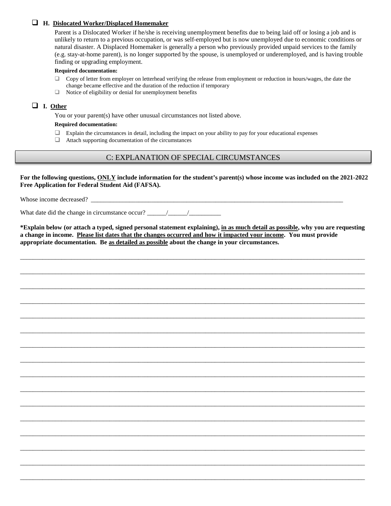## **H. Dislocated Worker/Displaced Homemaker**

Parent is a Dislocated Worker if he/she is receiving unemployment benefits due to being laid off or losing a job and is unlikely to return to a previous occupation, or was self-employed but is now unemployed due to economic conditions or natural disaster. A Displaced Homemaker is generally a person who previously provided unpaid services to the family (e.g. stay-at-home parent), is no longer supported by the spouse, is unemployed or underemployed, and is having trouble finding or upgrading employment.

#### **Required documentation:**

- $\Box$  Copy of letter from employer on letterhead verifying the release from employment or reduction in hours/wages, the date the change became effective and the duration of the reduction if temporary
- $\Box$  Notice of eligibility or denial for unemployment benefits

## **I. Other**

You or your parent(s) have other unusual circumstances not listed above.

#### **Required documentation:**

- $\Box$  Explain the circumstances in detail, including the impact on your ability to pay for your educational expenses
- $\Box$  Attach supporting documentation of the circumstances

# C: EXPLANATION OF SPECIAL CIRCUMSTANCES

**For the following questions, ONLY include information for the student's parent(s) whose income was included on the 2021-2022 Free Application for Federal Student Aid (FAFSA).**

Whose income decreased? \_\_\_\_\_\_\_\_\_\_\_\_\_\_\_\_\_\_\_\_\_\_\_\_\_\_\_\_\_\_\_\_\_\_\_\_\_\_\_\_\_\_\_\_\_\_\_\_\_\_\_\_\_\_\_\_\_\_\_\_\_\_\_\_\_\_\_\_\_\_\_\_\_\_\_\_\_\_\_

What date did the change in circumstance occur?  $\frac{1}{2}$  /

**\*Explain below (or attach a typed, signed personal statement explaining), in as much detail as possible, why you are requesting a change in income. Please list dates that the changes occurred and how it impacted your income. You must provide appropriate documentation. Be as detailed as possible about the change in your circumstances.** 

\_\_\_\_\_\_\_\_\_\_\_\_\_\_\_\_\_\_\_\_\_\_\_\_\_\_\_\_\_\_\_\_\_\_\_\_\_\_\_\_\_\_\_\_\_\_\_\_\_\_\_\_\_\_\_\_\_\_\_\_\_\_\_\_\_\_\_\_\_\_\_\_\_\_\_\_\_\_\_\_\_\_\_\_\_\_\_\_\_\_\_\_\_\_\_\_\_\_\_\_\_\_\_\_\_\_\_\_

\_\_\_\_\_\_\_\_\_\_\_\_\_\_\_\_\_\_\_\_\_\_\_\_\_\_\_\_\_\_\_\_\_\_\_\_\_\_\_\_\_\_\_\_\_\_\_\_\_\_\_\_\_\_\_\_\_\_\_\_\_\_\_\_\_\_\_\_\_\_\_\_\_\_\_\_\_\_\_\_\_\_\_\_\_\_\_\_\_\_\_\_\_\_\_\_\_\_\_\_\_\_\_\_\_\_\_\_

\_\_\_\_\_\_\_\_\_\_\_\_\_\_\_\_\_\_\_\_\_\_\_\_\_\_\_\_\_\_\_\_\_\_\_\_\_\_\_\_\_\_\_\_\_\_\_\_\_\_\_\_\_\_\_\_\_\_\_\_\_\_\_\_\_\_\_\_\_\_\_\_\_\_\_\_\_\_\_\_\_\_\_\_\_\_\_\_\_\_\_\_\_\_\_\_\_\_\_\_\_\_\_\_\_\_\_\_

\_\_\_\_\_\_\_\_\_\_\_\_\_\_\_\_\_\_\_\_\_\_\_\_\_\_\_\_\_\_\_\_\_\_\_\_\_\_\_\_\_\_\_\_\_\_\_\_\_\_\_\_\_\_\_\_\_\_\_\_\_\_\_\_\_\_\_\_\_\_\_\_\_\_\_\_\_\_\_\_\_\_\_\_\_\_\_\_\_\_\_\_\_\_\_\_\_\_\_\_\_\_\_\_\_\_\_\_

\_\_\_\_\_\_\_\_\_\_\_\_\_\_\_\_\_\_\_\_\_\_\_\_\_\_\_\_\_\_\_\_\_\_\_\_\_\_\_\_\_\_\_\_\_\_\_\_\_\_\_\_\_\_\_\_\_\_\_\_\_\_\_\_\_\_\_\_\_\_\_\_\_\_\_\_\_\_\_\_\_\_\_\_\_\_\_\_\_\_\_\_\_\_\_\_\_\_\_\_\_\_\_\_\_\_\_\_

\_\_\_\_\_\_\_\_\_\_\_\_\_\_\_\_\_\_\_\_\_\_\_\_\_\_\_\_\_\_\_\_\_\_\_\_\_\_\_\_\_\_\_\_\_\_\_\_\_\_\_\_\_\_\_\_\_\_\_\_\_\_\_\_\_\_\_\_\_\_\_\_\_\_\_\_\_\_\_\_\_\_\_\_\_\_\_\_\_\_\_\_\_\_\_\_\_\_\_\_\_\_\_\_\_\_\_\_

\_\_\_\_\_\_\_\_\_\_\_\_\_\_\_\_\_\_\_\_\_\_\_\_\_\_\_\_\_\_\_\_\_\_\_\_\_\_\_\_\_\_\_\_\_\_\_\_\_\_\_\_\_\_\_\_\_\_\_\_\_\_\_\_\_\_\_\_\_\_\_\_\_\_\_\_\_\_\_\_\_\_\_\_\_\_\_\_\_\_\_\_\_\_\_\_\_\_\_\_\_\_\_\_\_\_\_\_

\_\_\_\_\_\_\_\_\_\_\_\_\_\_\_\_\_\_\_\_\_\_\_\_\_\_\_\_\_\_\_\_\_\_\_\_\_\_\_\_\_\_\_\_\_\_\_\_\_\_\_\_\_\_\_\_\_\_\_\_\_\_\_\_\_\_\_\_\_\_\_\_\_\_\_\_\_\_\_\_\_\_\_\_\_\_\_\_\_\_\_\_\_\_\_\_\_\_\_\_\_\_\_\_\_\_\_\_

\_\_\_\_\_\_\_\_\_\_\_\_\_\_\_\_\_\_\_\_\_\_\_\_\_\_\_\_\_\_\_\_\_\_\_\_\_\_\_\_\_\_\_\_\_\_\_\_\_\_\_\_\_\_\_\_\_\_\_\_\_\_\_\_\_\_\_\_\_\_\_\_\_\_\_\_\_\_\_\_\_\_\_\_\_\_\_\_\_\_\_\_\_\_\_\_\_\_\_\_\_\_\_\_\_\_\_\_

\_\_\_\_\_\_\_\_\_\_\_\_\_\_\_\_\_\_\_\_\_\_\_\_\_\_\_\_\_\_\_\_\_\_\_\_\_\_\_\_\_\_\_\_\_\_\_\_\_\_\_\_\_\_\_\_\_\_\_\_\_\_\_\_\_\_\_\_\_\_\_\_\_\_\_\_\_\_\_\_\_\_\_\_\_\_\_\_\_\_\_\_\_\_\_\_\_\_\_\_\_\_\_\_\_\_\_\_

\_\_\_\_\_\_\_\_\_\_\_\_\_\_\_\_\_\_\_\_\_\_\_\_\_\_\_\_\_\_\_\_\_\_\_\_\_\_\_\_\_\_\_\_\_\_\_\_\_\_\_\_\_\_\_\_\_\_\_\_\_\_\_\_\_\_\_\_\_\_\_\_\_\_\_\_\_\_\_\_\_\_\_\_\_\_\_\_\_\_\_\_\_\_\_\_\_\_\_\_\_\_\_\_\_\_\_\_

\_\_\_\_\_\_\_\_\_\_\_\_\_\_\_\_\_\_\_\_\_\_\_\_\_\_\_\_\_\_\_\_\_\_\_\_\_\_\_\_\_\_\_\_\_\_\_\_\_\_\_\_\_\_\_\_\_\_\_\_\_\_\_\_\_\_\_\_\_\_\_\_\_\_\_\_\_\_\_\_\_\_\_\_\_\_\_\_\_\_\_\_\_\_\_\_\_\_\_\_\_\_\_\_\_\_\_\_

\_\_\_\_\_\_\_\_\_\_\_\_\_\_\_\_\_\_\_\_\_\_\_\_\_\_\_\_\_\_\_\_\_\_\_\_\_\_\_\_\_\_\_\_\_\_\_\_\_\_\_\_\_\_\_\_\_\_\_\_\_\_\_\_\_\_\_\_\_\_\_\_\_\_\_\_\_\_\_\_\_\_\_\_\_\_\_\_\_\_\_\_\_\_\_\_\_\_\_\_\_\_\_\_\_\_\_\_

\_\_\_\_\_\_\_\_\_\_\_\_\_\_\_\_\_\_\_\_\_\_\_\_\_\_\_\_\_\_\_\_\_\_\_\_\_\_\_\_\_\_\_\_\_\_\_\_\_\_\_\_\_\_\_\_\_\_\_\_\_\_\_\_\_\_\_\_\_\_\_\_\_\_\_\_\_\_\_\_\_\_\_\_\_\_\_\_\_\_\_\_\_\_\_\_\_\_\_\_\_\_\_\_\_\_\_\_

\_\_\_\_\_\_\_\_\_\_\_\_\_\_\_\_\_\_\_\_\_\_\_\_\_\_\_\_\_\_\_\_\_\_\_\_\_\_\_\_\_\_\_\_\_\_\_\_\_\_\_\_\_\_\_\_\_\_\_\_\_\_\_\_\_\_\_\_\_\_\_\_\_\_\_\_\_\_\_\_\_\_\_\_\_\_\_\_\_\_\_\_\_\_\_\_\_\_\_\_\_\_\_\_\_\_\_\_

\_\_\_\_\_\_\_\_\_\_\_\_\_\_\_\_\_\_\_\_\_\_\_\_\_\_\_\_\_\_\_\_\_\_\_\_\_\_\_\_\_\_\_\_\_\_\_\_\_\_\_\_\_\_\_\_\_\_\_\_\_\_\_\_\_\_\_\_\_\_\_\_\_\_\_\_\_\_\_\_\_\_\_\_\_\_\_\_\_\_\_\_\_\_\_\_\_\_\_\_\_\_\_\_\_\_\_\_